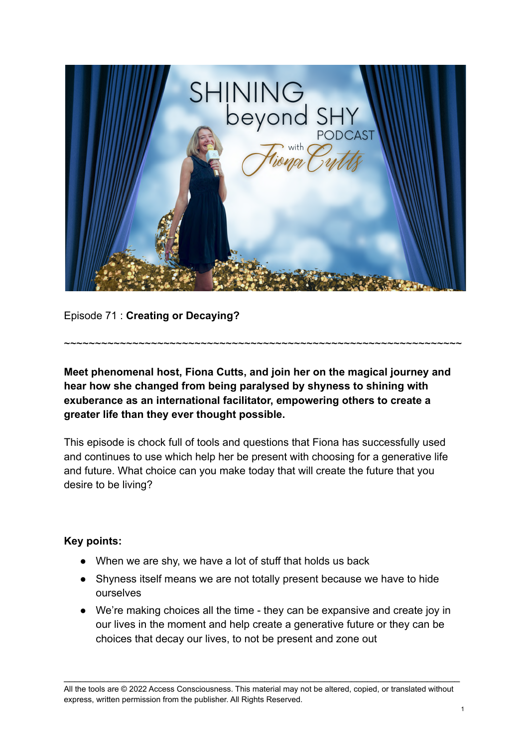

Episode 71 : **Creating or Decaying?**

**Meet phenomenal host, Fiona Cutts, and join her on the magical journey and hear how she changed from being paralysed by shyness to shining with exuberance as an international facilitator, empowering others to create a greater life than they ever thought possible.**

~~~~~~~~~~~~~~~~~~~~~~~~~~~~~~~~~~~~~~~~~~~~~~~~~~~~~~~~~~~~~~~~

This episode is chock full of tools and questions that Fiona has successfully used and continues to use which help her be present with choosing for a generative life and future. What choice can you make today that will create the future that you desire to be living?

## **Key points:**

- When we are shy, we have a lot of stuff that holds us back
- Shyness itself means we are not totally present because we have to hide ourselves
- We're making choices all the time they can be expansive and create joy in our lives in the moment and help create a generative future or they can be choices that decay our lives, to not be present and zone out

All the tools are © 2022 Access Consciousness. This material may not be altered, copied, or translated without express, written permission from the publisher. All Rights Reserved.

\_\_\_\_\_\_\_\_\_\_\_\_\_\_\_\_\_\_\_\_\_\_\_\_\_\_\_\_\_\_\_\_\_\_\_\_\_\_\_\_\_\_\_\_\_\_\_\_\_\_\_\_\_\_\_\_\_\_\_\_\_\_\_\_\_\_\_\_\_\_\_\_\_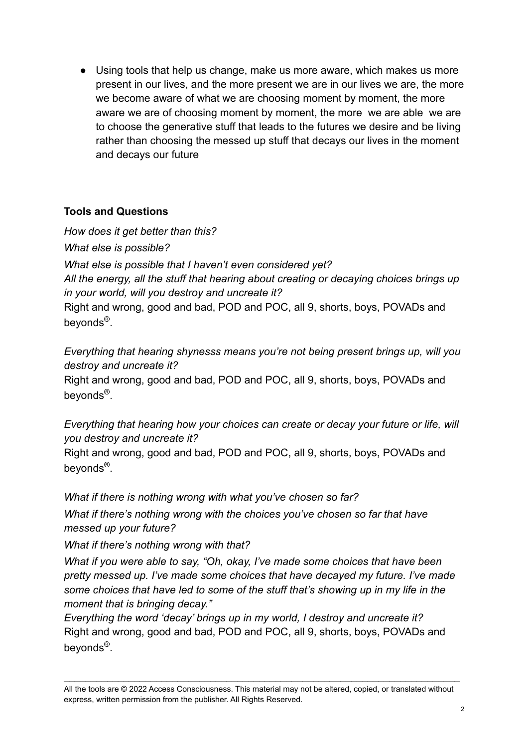● Using tools that help us change, make us more aware, which makes us more present in our lives, and the more present we are in our lives we are, the more we become aware of what we are choosing moment by moment, the more aware we are of choosing moment by moment, the more we are able we are to choose the generative stuff that leads to the futures we desire and be living rather than choosing the messed up stuff that decays our lives in the moment and decays our future

## **Tools and Questions**

*How does it get better than this? What else is possible? What else is possible that I haven't even considered yet? All the energy, all the stuff that hearing about creating or decaying choices brings up in your world, will you destroy and uncreate it?* Right and wrong, good and bad, POD and POC, all 9, shorts, boys, POVADs and beyonds<sup>®</sup>.

*Everything that hearing shynesss means you're not being present brings up, will you destroy and uncreate it?*

Right and wrong, good and bad, POD and POC, all 9, shorts, boys, POVADs and beyonds<sup>®</sup>.

*Everything that hearing how your choices can create or decay your future or life, will you destroy and uncreate it?*

Right and wrong, good and bad, POD and POC, all 9, shorts, boys, POVADs and beyonds<sup>®</sup>.

*What if there is nothing wrong with what you've chosen so far?*

*What if there's nothing wrong with the choices you've chosen so far that have messed up your future?*

*What if there's nothing wrong with that?*

*What if you were able to say, "Oh, okay, I've made some choices that have been pretty messed up. I've made some choices that have decayed my future. I've made some choices that have led to some of the stuff that's showing up in my life in the moment that is bringing decay."*

*Everything the word 'decay' brings up in my world, I destroy and uncreate it?* Right and wrong, good and bad, POD and POC, all 9, shorts, boys, POVADs and beyonds<sup>®</sup>.

\_\_\_\_\_\_\_\_\_\_\_\_\_\_\_\_\_\_\_\_\_\_\_\_\_\_\_\_\_\_\_\_\_\_\_\_\_\_\_\_\_\_\_\_\_\_\_\_\_\_\_\_\_\_\_\_\_\_\_\_\_\_\_\_\_\_\_\_\_\_\_\_\_